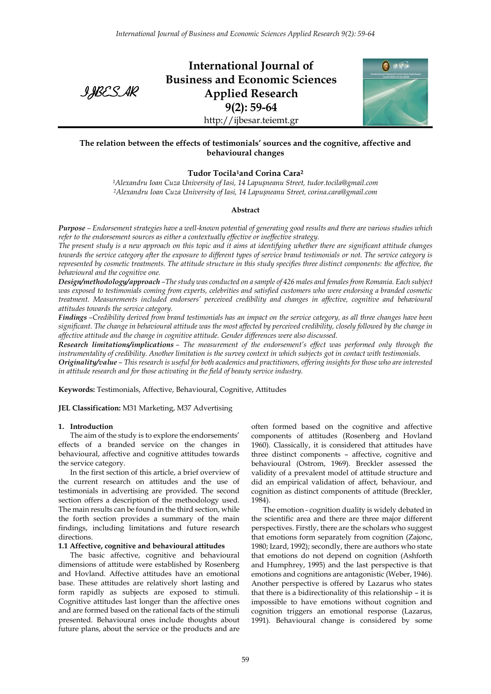IJBESAR

**International Journal of Business and Economic Sciences Applied Research 9(2): 59-64** http://ijbesar.teiemt.gr



## **The relation between the effects of testimonials' sources and the cognitive, affective and behavioural changes**

### **Tudor Tocila1and Corina Cara<sup>2</sup>**

*<sup>1</sup>Alexandru Ioan Cuza University of Iasi, 14 Lapușneanu Street, tudor.tocila@gmail.com <sup>2</sup>Alexandru Ioan Cuza University of Iasi, 14 Lapușneanu Street, corina.cara@gmail.com*

#### **Abstract**

*Purpose – Endorsement strategies have a well-known potential of generating good results and there are various studies which refer to the endorsement sources as either a contextually effective or ineffective strategy.*

*The present study is a new approach on this topic and it aims at identifying whether there are significant attitude changes towards the service category after the exposure to different types of service brand testimonials or not. The service category is represented by cosmetic treatments. The attitude structure in this study specifies three distinct components: the affective, the behavioural and the cognitive one.* 

*Design/methodology/approach –The study was conducted on a sample of 426 males and females from Romania. Each subject was exposed to testimonials coming from experts, celebrities and satisfied customers who were endorsing a branded cosmetic treatment. Measurements included endorsers' perceived credibility and changes in affective, cognitive and behavioural attitudes towards the service category.* 

*Findings –Credibility derived from brand testimonials has an impact on the service category, as all three changes have been significant. The change in behavioural attitude was the most affected by perceived credibility, closely followed by the change in affective attitude and the change in cognitive attitude. Gender differences were also discussed.*

*Research limitations/implications* – The measurement of the endorsement's effect was performed only through the *instrumentality of credibility. Another limitation is the survey context in which subjects got in contact with testimonials.* 

*Originality/value – This research is useful for both academics and practitioners, offering insights for those who are interested in attitude research and for those activating in the field of beauty service industry.* 

**Keywords:** Testimonials, Affective, Behavioural, Cognitive, Attitudes

**JEL Classification:** M31 Marketing, M37 Advertising

### **1. Introduction**

The aim of the study is to explore the endorsements' effects of a branded service on the changes in behavioural, affective and cognitive attitudes towards the service category.

In the first section of this article, a brief overview of the current research on attitudes and the use of testimonials in advertising are provided. The second section offers a description of the methodology used. The main results can be found in the third section, while the forth section provides a summary of the main findings, including limitations and future research directions.

### **1.1 Affective, cognitive and behavioural attitudes**

The basic affective, cognitive and behavioural dimensions of attitude were established by Rosenberg and Hovland. Affective attitudes have an emotional base. These attitudes are relatively short lasting and form rapidly as subjects are exposed to stimuli. Cognitive attitudes last longer than the affective ones and are formed based on the rational facts of the stimuli presented. Behavioural ones include thoughts about future plans, about the service or the products and are

often formed based on the cognitive and affective components of attitudes (Rosenberg and Hovland 1960). Classically, it is considered that attitudes have three distinct components – affective, cognitive and behavioural (Ostrom, 1969). Breckler assessed the validity of a prevalent model of attitude structure and did an empirical validation of affect, behaviour, and cognition as distinct components of attitude (Breckler, 1984).

The emotion - cognition duality is widely debated in the scientific area and there are three major different perspectives. Firstly, there are the scholars who suggest that emotions form separately from cognition (Zajonc, 1980; Izard, 1992); secondly, there are authors who state that emotions do not depend on cognition (Ashforth and Humphrey, 1995) and the last perspective is that emotions and cognitions are antagonistic (Weber, 1946). Another perspective is offered by Lazarus who states that there is a bidirectionality of this relationship – it is impossible to have emotions without cognition and cognition triggers an emotional response (Lazarus, 1991). Behavioural change is considered by some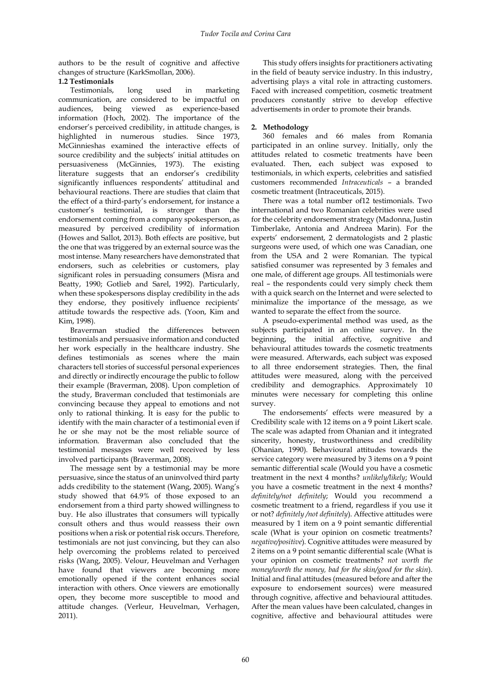authors to be the result of cognitive and affective changes of structure (KarkSmollan, 2006).

## **1.2 Testimonials**

Testimonials, long used in marketing communication, are considered to be impactful on audiences, being viewed as experience-based information (Hoch, 2002). The importance of the endorser's perceived credibility, in attitude changes, is highlighted in numerous studies. Since 1973, McGinnieshas examined the interactive effects of source credibility and the subjects' initial attitudes on persuasiveness (McGinnies, 1973). The existing literature suggests that an endorser's credibility significantly influences respondents' attitudinal and behavioural reactions. There are studies that claim that the effect of a third-party's endorsement, for instance a customer's testimonial, is stronger than the endorsement coming from a company spokesperson, as measured by perceived credibility of information (Howes and Sallot, 2013). Both effects are positive, but the one that was triggered by an external source was the most intense. Many researchers have demonstrated that endorsers, such as celebrities or customers, play significant roles in persuading consumers (Misra and Beatty, 1990; Gotlieb and Sarel, 1992). Particularly, when these spokespersons display credibility in the ads they endorse, they positively influence recipients' attitude towards the respective ads. (Yoon, Kim and Kim, 1998).

Braverman studied the differences between testimonials and persuasive information and conducted her work especially in the healthcare industry. She defines testimonials as scenes where the main characters tell stories of successful personal experiences and directly or indirectly encourage the public to follow their example (Braverman, 2008). Upon completion of the study, Braverman concluded that testimonials are convincing because they appeal to emotions and not only to rational thinking. It is easy for the public to identify with the main character of a testimonial even if he or she may not be the most reliable source of information. Braverman also concluded that the testimonial messages were well received by less involved participants (Braverman, 2008).

The message sent by a testimonial may be more persuasive, since the status of an uninvolved third party adds credibility to the statement (Wang, 2005). Wang's study showed that 64.9% of those exposed to an endorsement from a third party showed willingness to buy. He also illustrates that consumers will typically consult others and thus would reassess their own positions when a risk or potential risk occurs. Therefore, testimonials are not just convincing, but they can also help overcoming the problems related to perceived risks (Wang, 2005). Velour, Heuvelman and Verhagen have found that viewers are becoming more emotionally opened if the content enhances social interaction with others. Once viewers are emotionally open, they become more susceptible to mood and attitude changes. (Verleur, Heuvelman, Verhagen, 2011).

This study offers insights for practitioners activating in the field of beauty service industry. In this industry, advertising plays a vital role in attracting customers. Faced with increased competition, cosmetic treatment producers constantly strive to develop effective advertisements in order to promote their brands.

# **2. Methodology**

360 females and 66 males from Romania participated in an online survey. Initially, only the attitudes related to cosmetic treatments have been evaluated. Then, each subject was exposed to testimonials, in which experts, celebrities and satisfied customers recommended *Intraceuticals* – a branded cosmetic treatment (Intraceuticals, 2015).

There was a total number of12 testimonials. Two international and two Romanian celebrities were used for the celebrity endorsement strategy (Madonna, Justin Timberlake, Antonia and Andreea Marin). For the experts' endorsement, 2 dermatologists and 2 plastic surgeons were used, of which one was Canadian, one from the USA and 2 were Romanian. The typical satisfied consumer was represented by 3 females and one male, of different age groups. All testimonials were real – the respondents could very simply check them with a quick search on the Internet and were selected to minimalize the importance of the message, as we wanted to separate the effect from the source.

A pseudo-experimental method was used, as the subjects participated in an online survey. In the beginning, the initial affective, cognitive and behavioural attitudes towards the cosmetic treatments were measured. Afterwards, each subject was exposed to all three endorsement strategies. Then, the final attitudes were measured, along with the perceived credibility and demographics. Approximately 10 minutes were necessary for completing this online survey.

The endorsements' effects were measured by a Credibility scale with 12 items on a 9 point Likert scale. The scale was adapted from Ohanian and it integrated sincerity, honesty, trustworthiness and credibility (Ohanian, 1990). Behavioural attitudes towards the service category were measured by 3 items on a 9 point semantic differential scale (Would you have a cosmetic treatment in the next 4 months? *unlikely/likely*; Would you have a cosmetic treatment in the next 4 months? *definitely/not definitely*; Would you recommend a cosmetic treatment to a friend, regardless if you use it or not? *definitely /not definitely*). Affective attitudes were measured by 1 item on a 9 point semantic differential scale (What is your opinion on cosmetic treatments? *negative/positive*). Cognitive attitudes were measured by 2 items on a 9 point semantic differential scale (What is your opinion on cosmetic treatments? *not worth the money/worth the money, bad for the skin/good for the skin*). Initial and final attitudes (measured before and after the exposure to endorsement sources) were measured through cognitive, affective and behavioural attitudes. After the mean values have been calculated, changes in cognitive, affective and behavioural attitudes were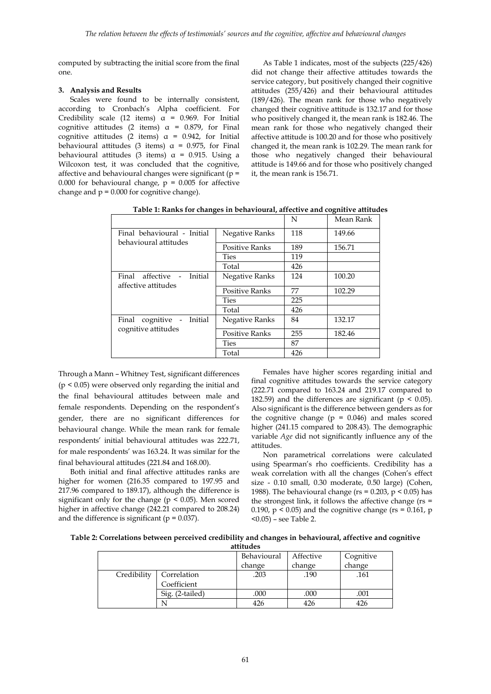computed by subtracting the initial score from the final one.

## **3. Analysis and Results**

Scales were found to be internally consistent, according to Cronbach's Alpha coefficient. For Credibility scale (12 items)  $\alpha$  = 0.969. For Initial cognitive attitudes (2 items)  $\alpha$  = 0.879, for Final cognitive attitudes (2 items)  $\alpha$  = 0.942, for Initial behavioural attitudes (3 items)  $\alpha$  = 0.975, for Final behavioural attitudes (3 items)  $\alpha$  = 0.915. Using a Wilcoxon test, it was concluded that the cognitive, affective and behavioural changes were significant (p = 0.000 for behavioural change,  $p = 0.005$  for affective change and  $p = 0.000$  for cognitive change).

As Table 1 indicates, most of the subjects (225/426) did not change their affective attitudes towards the service category, but positively changed their cognitive attitudes (255/426) and their behavioural attitudes (189/426). The mean rank for those who negatively changed their cognitive attitude is 132.17 and for those who positively changed it, the mean rank is 182.46. The mean rank for those who negatively changed their affective attitude is 100.20 and for those who positively changed it, the mean rank is 102.29. The mean rank for those who negatively changed their behavioural attitude is 149.66 and for those who positively changed it, the mean rank is 156.71.

|                                                     |                       | 1 N | witah inglin |
|-----------------------------------------------------|-----------------------|-----|--------------|
| Final behavioural - Initial                         | Negative Ranks        | 118 | 149.66       |
| behavioural attitudes                               | <b>Positive Ranks</b> | 189 | 156.71       |
|                                                     | Ties                  | 119 |              |
|                                                     | Total                 | 426 |              |
| affective - Initial<br>Final<br>affective attitudes | Negative Ranks        | 124 | 100.20       |
|                                                     | <b>Positive Ranks</b> | 77  | 102.29       |
|                                                     | <b>Ties</b>           | 225 |              |
|                                                     | Total                 | 426 |              |
| Final cognitive - Initial                           | Negative Ranks        | 84  | 132.17       |
| cognitive attitudes                                 | <b>Positive Ranks</b> | 255 | 182.46       |
|                                                     | <b>Ties</b>           | 87  |              |
|                                                     | Total                 | 426 |              |

**Table 1: Ranks for changes in behavioural, affective and cognitive attitudes** N Mean Rank

Through a Mann – Whitney Test, significant differences (p < 0.05) were observed only regarding the initial and the final behavioural attitudes between male and female respondents. Depending on the respondent's gender, there are no significant differences for behavioural change. While the mean rank for female respondents' initial behavioural attitudes was 222.71, for male respondents' was 163.24. It was similar for the final behavioural attitudes (221.84 and 168.00).

Both initial and final affective attitudes ranks are higher for women (216.35 compared to 197.95 and 217.96 compared to 189.17), although the difference is significant only for the change (p < 0.05). Men scored higher in affective change (242.21 compared to 208.24) and the difference is significant ( $p = 0.037$ ).

Females have higher scores regarding initial and final cognitive attitudes towards the service category (222.71 compared to 163.24 and 219.17 compared to 182.59) and the differences are significant ( $p < 0.05$ ). Also significant is the difference between genders as for the cognitive change  $(p = 0.046)$  and males scored higher (241.15 compared to 208.43). The demographic variable *Age* did not significantly influence any of the attitudes.

Non parametrical correlations were calculated using Spearman's rho coefficients. Credibility has a weak correlation with all the changes (Cohen's effect size - 0.10 small, 0.30 moderate, 0.50 large) (Cohen, 1988). The behavioural change ( $rs = 0.203$ ,  $p < 0.05$ ) has the strongest link, it follows the affective change ( $rs =$ 0.190,  $p < 0.05$ ) and the cognitive change (rs = 0.161, p <0.05) – see Table 2.

**Table 2: Correlations between perceived credibility and changes in behavioural, affective and cognitive attitudes**

|             |                 | Behavioural | Affective | Cognitive<br>change |
|-------------|-----------------|-------------|-----------|---------------------|
|             |                 | change      | change    |                     |
| Credibility | Correlation     | .203        | .190      | .161                |
|             | Coefficient     |             |           |                     |
|             | Sig. (2-tailed) | .000        | .000      | .001                |
|             |                 | 426         | 426       | 426                 |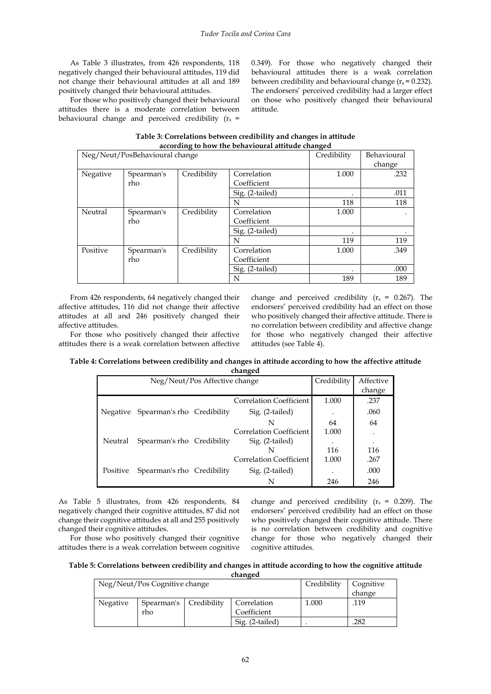As Table 3 illustrates, from 426 respondents, 118 negatively changed their behavioural attitudes, 119 did not change their behavioural attitudes at all and 189 positively changed their behavioural attitudes.

For those who positively changed their behavioural attitudes there is a moderate correlation between behavioural change and perceived credibility  $(r_s =$  0.349). For those who negatively changed their behavioural attitudes there is a weak correlation between credibility and behavioural change ( $r_s$  = 0.232). The endorsers' perceived credibility had a larger effect on those who positively changed their behavioural attitude.

| according to how the behavioural attitude changed |            |             |                 |             |        |  |
|---------------------------------------------------|------------|-------------|-----------------|-------------|--------|--|
| Neg/Neut/PosBehavioural change                    |            |             | Credibility     | Behavioural |        |  |
|                                                   |            |             |                 |             | change |  |
| Negative                                          | Spearman's | Credibility | Correlation     | 1.000       | .232   |  |
|                                                   | rho        |             | Coefficient     |             |        |  |
|                                                   |            |             | Sig. (2-tailed) | ٠           | .011   |  |
|                                                   |            |             | N               | 118         | 118    |  |
| Neutral                                           | Spearman's | Credibility | Correlation     | 1.000       |        |  |
|                                                   | rho        |             | Coefficient     |             |        |  |
|                                                   |            |             | Sig. (2-tailed) |             |        |  |
|                                                   |            |             | N               | 119         | 119    |  |
| Positive                                          | Spearman's | Credibility | Correlation     | 1.000       | .349   |  |
|                                                   | rho        |             | Coefficient     |             |        |  |
|                                                   |            |             | Sig. (2-tailed) |             | .000   |  |
|                                                   |            |             | N               | 189         | 189    |  |

**Table 3: Correlations between credibility and changes in attitude**

From 426 respondents, 64 negatively changed their affective attitudes, 116 did not change their affective attitudes at all and 246 positively changed their affective attitudes.

For those who positively changed their affective attitudes there is a weak correlation between affective change and perceived credibility ( $r_s = 0.267$ ). The endorsers' perceived credibility had an effect on those who positively changed their affective attitude. There is no correlation between credibility and affective change for those who negatively changed their affective attitudes (see Table 4).

| Table 4: Correlations between credibility and changes in attitude according to how the affective attitude |  |  |
|-----------------------------------------------------------------------------------------------------------|--|--|
|-----------------------------------------------------------------------------------------------------------|--|--|

| Neg/Neut/Pos Affective change |                                     |  | Credibility                    | Affective |        |
|-------------------------------|-------------------------------------|--|--------------------------------|-----------|--------|
|                               |                                     |  |                                |           | change |
|                               |                                     |  | Correlation Coefficient        | 1.000     | .237   |
|                               | Negative Spearman's rho Credibility |  | Sig. (2-tailed)                |           | .060   |
|                               |                                     |  | N                              | 64        | 64     |
|                               |                                     |  | <b>Correlation Coefficient</b> | 1.000     | ٠      |
| Neutral                       | Spearman's rho Credibility          |  | Sig. (2-tailed)                |           | ٠      |
|                               |                                     |  |                                | 116       | 116    |
|                               |                                     |  | <b>Correlation Coefficient</b> | 1.000     | .267   |
| Positive                      | Spearman's rho Credibility          |  | Sig. (2-tailed)                |           | .000   |
|                               |                                     |  | N                              | 246       | 246    |

As Table 5 illustrates, from 426 respondents, 84 negatively changed their cognitive attitudes, 87 did not change their cognitive attitudes at all and 255 positively changed their cognitive attitudes.

For those who positively changed their cognitive attitudes there is a weak correlation between cognitive change and perceived credibility ( $r_s = 0.209$ ). The endorsers' perceived credibility had an effect on those who positively changed their cognitive attitude. There is no correlation between credibility and cognitive change for those who negatively changed their cognitive attitudes.

**Table 5: Correlations between credibility and changes in attitude according to how the cognitive attitude changed**

| Neg/Neut/Pos Cognitive change |                          |  | Credibility     | Cognitive |        |
|-------------------------------|--------------------------|--|-----------------|-----------|--------|
|                               |                          |  |                 |           | change |
| Negative                      | Spearman's   Credibility |  | Correlation     | 1.000     | .119   |
|                               | rho                      |  | Coefficient     |           |        |
|                               |                          |  | Sig. (2-tailed) |           | 282    |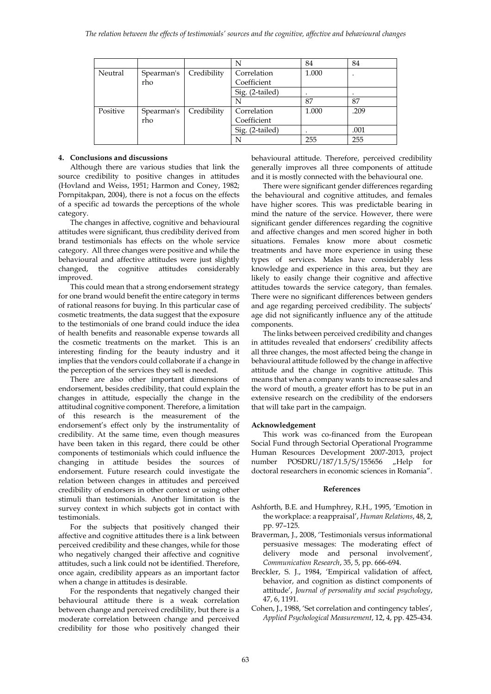|          |            |             | N               | 84    | 84   |
|----------|------------|-------------|-----------------|-------|------|
| Neutral  | Spearman's | Credibility | Correlation     | 1.000 |      |
|          | rho        |             | Coefficient     |       |      |
|          |            |             | Sig. (2-tailed) |       |      |
|          |            |             |                 | 87    | 87   |
| Positive | Spearman's | Credibility | Correlation     | 1.000 | .209 |
|          | rho        |             | Coefficient     |       |      |
|          |            |             | Sig. (2-tailed) |       | .001 |
|          |            |             |                 | 255   | 255  |

## **4. Conclusions and discussions**

Although there are various studies that link the source credibility to positive changes in attitudes (Hovland and Weiss, 1951; Harmon and Coney, 1982; Pornpitakpan, 2004), there is not a focus on the effects of a specific ad towards the perceptions of the whole category.

The changes in affective, cognitive and behavioural attitudes were significant, thus credibility derived from brand testimonials has effects on the whole service category. All three changes were positive and while the behavioural and affective attitudes were just slightly changed, the cognitive attitudes considerably improved.

This could mean that a strong endorsement strategy for one brand would benefit the entire category in terms of rational reasons for buying. In this particular case of cosmetic treatments, the data suggest that the exposure to the testimonials of one brand could induce the idea of health benefits and reasonable expense towards all the cosmetic treatments on the market. This is an interesting finding for the beauty industry and it implies that the vendors could collaborate if a change in the perception of the services they sell is needed.

There are also other important dimensions of endorsement, besides credibility, that could explain the changes in attitude, especially the change in the attitudinal cognitive component. Therefore, a limitation of this research is the measurement of the endorsement's effect only by the instrumentality of credibility. At the same time, even though measures have been taken in this regard, there could be other components of testimonials which could influence the changing in attitude besides the sources of endorsement. Future research could investigate the relation between changes in attitudes and perceived credibility of endorsers in other context or using other stimuli than testimonials. Another limitation is the survey context in which subjects got in contact with testimonials.

For the subjects that positively changed their affective and cognitive attitudes there is a link between perceived credibility and these changes, while for those who negatively changed their affective and cognitive attitudes, such a link could not be identified. Therefore, once again, credibility appears as an important factor when a change in attitudes is desirable.

For the respondents that negatively changed their behavioural attitude there is a weak correlation between change and perceived credibility, but there is a moderate correlation between change and perceived credibility for those who positively changed their

behavioural attitude. Therefore, perceived credibility generally improves all three components of attitude and it is mostly connected with the behavioural one.

There were significant gender differences regarding the behavioural and cognitive attitudes, and females have higher scores. This was predictable bearing in mind the nature of the service. However, there were significant gender differences regarding the cognitive and affective changes and men scored higher in both situations. Females know more about cosmetic treatments and have more experience in using these types of services. Males have considerably less knowledge and experience in this area, but they are likely to easily change their cognitive and affective attitudes towards the service category, than females. There were no significant differences between genders and age regarding perceived credibility. The subjects' age did not significantly influence any of the attitude components.

The links between perceived credibility and changes in attitudes revealed that endorsers' credibility affects all three changes, the most affected being the change in behavioural attitude followed by the change in affective attitude and the change in cognitive attitude. This means that when a company wants to increase sales and the word of mouth, a greater effort has to be put in an extensive research on the credibility of the endorsers that will take part in the campaign.

### **Acknowledgement**

This work was co-financed from the European Social Fund through Sectorial Operational Programme Human Resources Development 2007-2013, project number POSDRU/187/1.5/S/155656 "Help for doctoral researchers in economic sciences in Romania".

### **References**

- Ashforth, B.E. and Humphrey, R.H., 1995, 'Emotion in the workplace: a reappraisal', *Human Relations*, 48, 2, pp. 97–125.
- Braverman, J., 2008, 'Testimonials versus informational persuasive messages: The moderating effect of delivery mode and personal involvement', *Communication Research*, 35, 5, pp. 666-694.
- Breckler, S. J., 1984, 'Empirical validation of affect, behavior, and cognition as distinct components of attitude', *Journal of personality and social psychology*, 47, 6, 1191.
- Cohen, J., 1988, 'Set correlation and contingency tables', *Applied Psychological Measurement*, 12, 4, pp. 425-434.